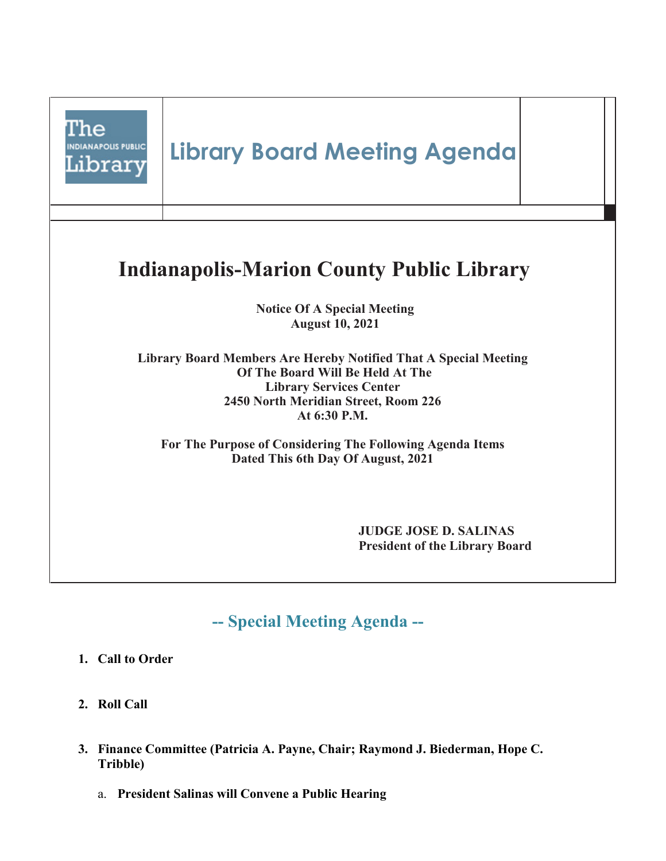

- **1. Call to Order**
- **2. Roll Call**
- **3. Finance Committee (Patricia A. Payne, Chair; Raymond J. Biederman, Hope C. Tribble)** 
	- a. **President Salinas will Convene a Public Hearing**